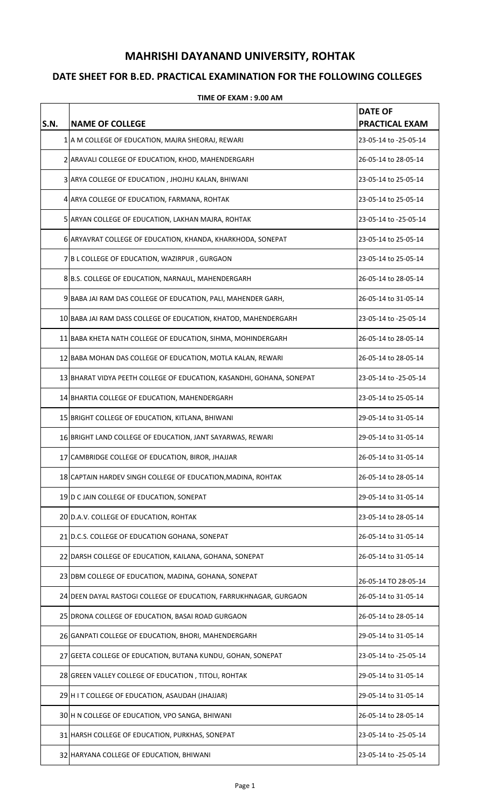## **MAHRISHI DAYANAND UNIVERSITY, ROHTAK**

## **DATE SHEET FOR B.ED. PRACTICAL EXAMINATION FOR THE FOLLOWING COLLEGES**

| S.N. | <b>NAME OF COLLEGE</b>                                                | <b>DATE OF</b><br><b>PRACTICAL EXAM</b> |
|------|-----------------------------------------------------------------------|-----------------------------------------|
|      | 1 A M COLLEGE OF EDUCATION, MAJRA SHEORAJ, REWARI                     | 23-05-14 to -25-05-14                   |
|      | 2 ARAVALI COLLEGE OF EDUCATION, KHOD, MAHENDERGARH                    | 26-05-14 to 28-05-14                    |
|      | 3 ARYA COLLEGE OF EDUCATION, JHOJHU KALAN, BHIWANI                    | 23-05-14 to 25-05-14                    |
|      | 4 ARYA COLLEGE OF EDUCATION, FARMANA, ROHTAK                          | 23-05-14 to 25-05-14                    |
|      | 5 ARYAN COLLEGE OF EDUCATION, LAKHAN MAJRA, ROHTAK                    | 23-05-14 to -25-05-14                   |
|      | 6 ARYAVRAT COLLEGE OF EDUCATION, KHANDA, KHARKHODA, SONEPAT           | 23-05-14 to 25-05-14                    |
|      | 7 B L COLLEGE OF EDUCATION, WAZIRPUR, GURGAON                         | 23-05-14 to 25-05-14                    |
|      | 8 B.S. COLLEGE OF EDUCATION, NARNAUL, MAHENDERGARH                    | 26-05-14 to 28-05-14                    |
|      | 9 BABA JAI RAM DAS COLLEGE OF EDUCATION, PALI, MAHENDER GARH,         | 26-05-14 to 31-05-14                    |
|      | 10 BABA JAI RAM DASS COLLEGE OF EDUCATION, KHATOD, MAHENDERGARH       | 23-05-14 to -25-05-14                   |
|      | 11 BABA KHETA NATH COLLEGE OF EDUCATION, SIHMA, MOHINDERGARH          | 26-05-14 to 28-05-14                    |
|      | 12 BABA MOHAN DAS COLLEGE OF EDUCATION, MOTLA KALAN, REWARI           | 26-05-14 to 28-05-14                    |
|      | 13 BHARAT VIDYA PEETH COLLEGE OF EDUCATION, KASANDHI, GOHANA, SONEPAT | 23-05-14 to -25-05-14                   |
|      | 14 BHARTIA COLLEGE OF EDUCATION, MAHENDERGARH                         | 23-05-14 to 25-05-14                    |
|      | 15 BRIGHT COLLEGE OF EDUCATION, KITLANA, BHIWANI                      | 29-05-14 to 31-05-14                    |
|      | 16 BRIGHT LAND COLLEGE OF EDUCATION, JANT SAYARWAS, REWARI            | 29-05-14 to 31-05-14                    |
|      | 17 CAMBRIDGE COLLEGE OF EDUCATION, BIROR, JHAJJAR                     | 26-05-14 to 31-05-14                    |
|      | 18 CAPTAIN HARDEV SINGH COLLEGE OF EDUCATION, MADINA, ROHTAK          | 26-05-14 to 28-05-14                    |
|      | 19 D C JAIN COLLEGE OF EDUCATION, SONEPAT                             | 29-05-14 to 31-05-14                    |
|      | 20 D.A.V. COLLEGE OF EDUCATION, ROHTAK                                | 23-05-14 to 28-05-14                    |
|      | 21 D.C.S. COLLEGE OF EDUCATION GOHANA, SONEPAT                        | 26-05-14 to 31-05-14                    |
|      | 22 DARSH COLLEGE OF EDUCATION, KAILANA, GOHANA, SONEPAT               | 26-05-14 to 31-05-14                    |
|      | 23 DBM COLLEGE OF EDUCATION, MADINA, GOHANA, SONEPAT                  | 26-05-14 TO 28-05-14                    |
|      | 24 DEEN DAYAL RASTOGI COLLEGE OF EDUCATION, FARRUKHNAGAR, GURGAON     | 26-05-14 to 31-05-14                    |
|      | 25 DRONA COLLEGE OF EDUCATION, BASAI ROAD GURGAON                     | 26-05-14 to 28-05-14                    |
|      | 26 GANPATI COLLEGE OF EDUCATION, BHORI, MAHENDERGARH                  | 29-05-14 to 31-05-14                    |
|      | 27 GEETA COLLEGE OF EDUCATION, BUTANA KUNDU, GOHAN, SONEPAT           | 23-05-14 to -25-05-14                   |
|      | 28 GREEN VALLEY COLLEGE OF EDUCATION, TITOLI, ROHTAK                  | 29-05-14 to 31-05-14                    |
|      | 29 H I T COLLEGE OF EDUCATION, ASAUDAH (JHAJJAR)                      | 29-05-14 to 31-05-14                    |
|      | 30 H N COLLEGE OF EDUCATION, VPO SANGA, BHIWANI                       | 26-05-14 to 28-05-14                    |
|      | 31 HARSH COLLEGE OF EDUCATION, PURKHAS, SONEPAT                       | 23-05-14 to -25-05-14                   |
|      | 32 HARYANA COLLEGE OF EDUCATION, BHIWANI                              | 23-05-14 to -25-05-14                   |

## **TIME OF EXAM : 9.00 AM**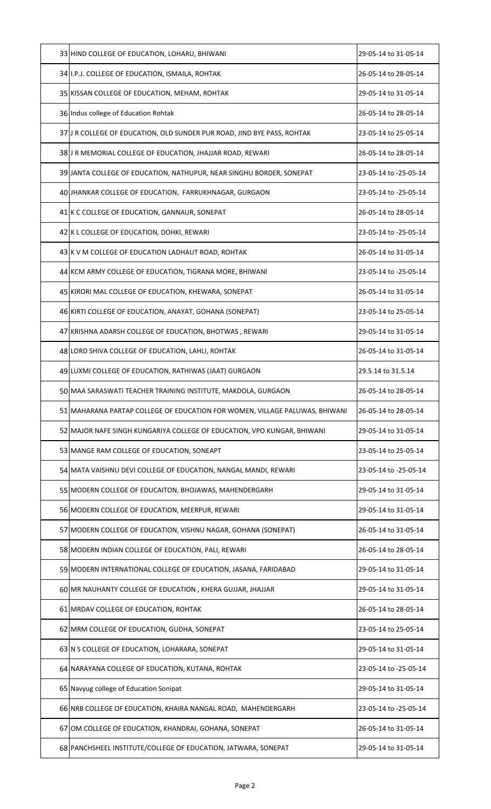| 33 HIND COLLEGE OF EDUCATION, LOHARU, BHIWANI                               | 29-05-14 to 31-05-14  |
|-----------------------------------------------------------------------------|-----------------------|
| 34 I.P.J. COLLEGE OF EDUCATION, ISMAILA, ROHTAK                             | 26-05-14 to 28-05-14  |
| 35 KISSAN COLLEGE OF EDUCATION, MEHAM, ROHTAK                               | 29-05-14 to 31-05-14  |
| 36 Indus college of Education Rohtak                                        | 26-05-14 to 28-05-14  |
| 37 J R COLLEGE OF EDUCATION, OLD SUNDER PUR ROAD, JIND BYE PASS, ROHTAK     | 23-05-14 to 25-05-14  |
| 38 J R MEMORIAL COLLEGE OF EDUCATION, JHAJJAR ROAD, REWARI                  | 26-05-14 to 28-05-14  |
| 39 JANTA COLLEGE OF EDUCATION, NATHUPUR, NEAR SINGHU BORDER, SONEPAT        | 23-05-14 to -25-05-14 |
| 40 JHANKAR COLLEGE OF EDUCATION, FARRUKHNAGAR, GURGAON                      | 23-05-14 to -25-05-14 |
| 41 K C COLLEGE OF EDUCATION, GANNAUR, SONEPAT                               | 26-05-14 to 28-05-14  |
| 42 K L COLLEGE OF EDUCATION, DOHKI, REWARI                                  | 23-05-14 to -25-05-14 |
| 43 K V M COLLEGE OF EDUCATION LADHAUT ROAD, ROHTAK                          | 26-05-14 to 31-05-14  |
| 44 KCM ARMY COLLEGE OF EDUCATION, TIGRANA MORE, BHIWANI                     | 23-05-14 to -25-05-14 |
| 45 KIRORI MAL COLLEGE OF EDUCATION, KHEWARA, SONEPAT                        | 26-05-14 to 31-05-14  |
| 46 KIRTI COLLEGE OF EDUCATION, ANAYAT, GOHANA (SONEPAT)                     | 23-05-14 to 25-05-14  |
| 47 KRISHNA ADARSH COLLEGE OF EDUCATION, BHOTWAS, REWARI                     | 29-05-14 to 31-05-14  |
| 48 LORD SHIVA COLLEGE OF EDUCATION, LAHLI, ROHTAK                           | 26-05-14 to 31-05-14  |
| 49 LUXMI COLLEGE OF EDUCATION, RATHIWAS (JAAT) GURGAON                      | 29.5.14 to 31.5.14    |
| 50 MAA SARASWATI TEACHER TRAINING INSTITUTE, MAKDOLA, GURGAON               | 26-05-14 to 28-05-14  |
| 51 MAHARANA PARTAP COLLEGE OF EDUCATION FOR WOMEN, VILLAGE PALUWAS, BHIWANI | 26-05-14 to 28-05-14  |
| 52 MAJOR NAFE SINGH KUNGARIYA COLLEGE OF EDUCATION, VPO KUNGAR, BHIWANI     | 29-05-14 to 31-05-14  |
| 53 MANGE RAM COLLEGE OF EDUCATION, SONEAPT                                  | 23-05-14 to 25-05-14  |
| 54 MATA VAISHNU DEVI COLLEGE OF EDUCATION, NANGAL MANDI, REWARI             | 23-05-14 to -25-05-14 |
| 55 MODERN COLLEGE OF EDUCAITON, BHOJAWAS, MAHENDERGARH                      | 29-05-14 to 31-05-14  |
| 56 MODERN COLLEGE OF EDUCATION, MEERPUR, REWARI                             | 29-05-14 to 31-05-14  |
| 57 MODERN COLLEGE OF EDUCATION, VISHNU NAGAR, GOHANA (SONEPAT)              | 26-05-14 to 31-05-14  |
| 58 MODERN INDIAN COLLEGE OF EDUCATION, PALI, REWARI                         | 26-05-14 to 28-05-14  |
| 59 MODERN INTERNATIONAL COLLEGE OF EDUCATION, JASANA, FARIDABAD             | 29-05-14 to 31-05-14  |
| 60 MR NAUHANTY COLLEGE OF EDUCATION, KHERA GUJJAR, JHAJJAR                  | 29-05-14 to 31-05-14  |
| 61 MRDAV COLLEGE OF EDUCATION, ROHTAK                                       | 26-05-14 to 28-05-14  |
| 62 MRM COLLEGE OF EDUCATION, GUDHA, SONEPAT                                 | 23-05-14 to 25-05-14  |
| 63 N S COLLEGE OF EDUCATION, LOHARARA, SONEPAT                              | 29-05-14 to 31-05-14  |
| 64 NARAYANA COLLEGE OF EDUCATION, KUTANA, ROHTAK                            | 23-05-14 to -25-05-14 |
| 65 Navyug college of Education Sonipat                                      | 29-05-14 to 31-05-14  |
|                                                                             |                       |
| 66 NRB COLLEGE OF EDUCATION, KHAIRA NANGAL ROAD, MAHENDERGARH               | 23-05-14 to -25-05-14 |
| 67 OM COLLEGE OF EDUCATION, KHANDRAI, GOHANA, SONEPAT                       | 26-05-14 to 31-05-14  |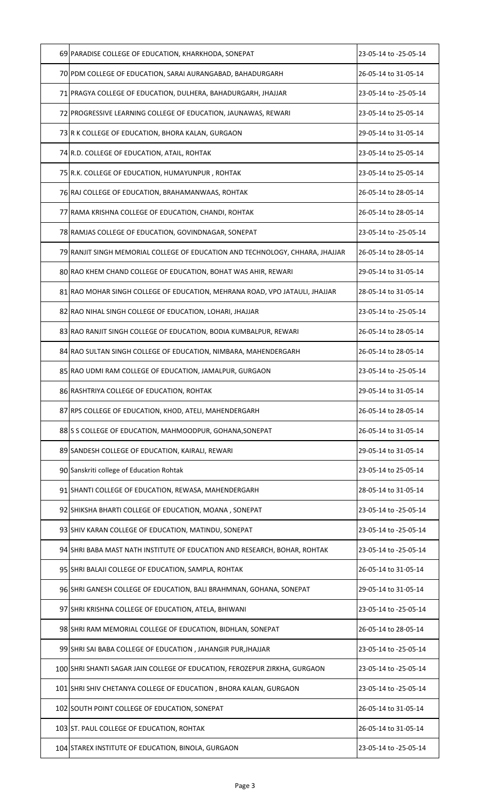| 69 PARADISE COLLEGE OF EDUCATION, KHARKHODA, SONEPAT                          | 23-05-14 to -25-05-14 |
|-------------------------------------------------------------------------------|-----------------------|
| 70 PDM COLLEGE OF EDUCATION, SARAI AURANGABAD, BAHADURGARH                    | 26-05-14 to 31-05-14  |
| 71 PRAGYA COLLEGE OF EDUCATION, DULHERA, BAHADURGARH, JHAJJAR                 | 23-05-14 to -25-05-14 |
| 72 PROGRESSIVE LEARNING COLLEGE OF EDUCATION, JAUNAWAS, REWARI                | 23-05-14 to 25-05-14  |
| 73 R K COLLEGE OF EDUCATION, BHORA KALAN, GURGAON                             | 29-05-14 to 31-05-14  |
| 74 R.D. COLLEGE OF EDUCATION, ATAIL, ROHTAK                                   | 23-05-14 to 25-05-14  |
| 75 R.K. COLLEGE OF EDUCATION, HUMAYUNPUR, ROHTAK                              | 23-05-14 to 25-05-14  |
| 76 RAJ COLLEGE OF EDUCATION, BRAHAMANWAAS, ROHTAK                             | 26-05-14 to 28-05-14  |
| 77 RAMA KRISHNA COLLEGE OF EDUCATION, CHANDI, ROHTAK                          | 26-05-14 to 28-05-14  |
| 78 RAMJAS COLLEGE OF EDUCATION, GOVINDNAGAR, SONEPAT                          | 23-05-14 to -25-05-14 |
| 79 RANJIT SINGH MEMORIAL COLLEGE OF EDUCATION AND TECHNOLOGY, CHHARA, JHAJJAR | 26-05-14 to 28-05-14  |
| 80 RAO KHEM CHAND COLLEGE OF EDUCATION, BOHAT WAS AHIR, REWARI                | 29-05-14 to 31-05-14  |
| 81 RAO MOHAR SINGH COLLEGE OF EDUCATION, MEHRANA ROAD, VPO JATAULI, JHAJJAR   | 28-05-14 to 31-05-14  |
| 82 RAO NIHAL SINGH COLLEGE OF EDUCATION, LOHARI, JHAJJAR                      | 23-05-14 to -25-05-14 |
| 83 RAO RANJIT SINGH COLLEGE OF EDUCATION, BODIA KUMBALPUR, REWARI             | 26-05-14 to 28-05-14  |
| 84 RAO SULTAN SINGH COLLEGE OF EDUCATION, NIMBARA, MAHENDERGARH               | 26-05-14 to 28-05-14  |
| 85 RAO UDMI RAM COLLEGE OF EDUCATION, JAMALPUR, GURGAON                       | 23-05-14 to -25-05-14 |
| 86 RASHTRIYA COLLEGE OF EDUCATION, ROHTAK                                     | 29-05-14 to 31-05-14  |
| 87 RPS COLLEGE OF EDUCATION, KHOD, ATELI, MAHENDERGARH                        | 26-05-14 to 28-05-14  |
| 88 S COLLEGE OF EDUCATION, MAHMOODPUR, GOHANA, SONEPAT                        | 26-05-14 to 31-05-14  |
| 89 SANDESH COLLEGE OF EDUCATION, KAIRALI, REWARI                              | 29-05-14 to 31-05-14  |
| 90 Sanskriti college of Education Rohtak                                      | 23-05-14 to 25-05-14  |
| 91 SHANTI COLLEGE OF EDUCATION, REWASA, MAHENDERGARH                          | 28-05-14 to 31-05-14  |
| 92 SHIKSHA BHARTI COLLEGE OF EDUCATION, MOANA, SONEPAT                        | 23-05-14 to -25-05-14 |
| 93 SHIV KARAN COLLEGE OF EDUCATION, MATINDU, SONEPAT                          | 23-05-14 to -25-05-14 |
| 94 SHRI BABA MAST NATH INSTITUTE OF EDUCATION AND RESEARCH, BOHAR, ROHTAK     | 23-05-14 to -25-05-14 |
| 95 SHRI BALAJI COLLEGE OF EDUCATION, SAMPLA, ROHTAK                           | 26-05-14 to 31-05-14  |
| 96 SHRI GANESH COLLEGE OF EDUCATION, BALI BRAHMNAN, GOHANA, SONEPAT           | 29-05-14 to 31-05-14  |
| 97 SHRI KRISHNA COLLEGE OF EDUCATION, ATELA, BHIWANI                          | 23-05-14 to -25-05-14 |
| 98 SHRI RAM MEMORIAL COLLEGE OF EDUCATION, BIDHLAN, SONEPAT                   | 26-05-14 to 28-05-14  |
| 99 SHRI SAI BABA COLLEGE OF EDUCATION, JAHANGIR PUR, JHAJJAR                  | 23-05-14 to -25-05-14 |
| 100 SHRI SHANTI SAGAR JAIN COLLEGE OF EDUCATION, FEROZEPUR ZIRKHA, GURGAON    | 23-05-14 to -25-05-14 |
| 101 SHRI SHIV CHETANYA COLLEGE OF EDUCATION, BHORA KALAN, GURGAON             | 23-05-14 to -25-05-14 |
| 102 SOUTH POINT COLLEGE OF EDUCATION, SONEPAT                                 | 26-05-14 to 31-05-14  |
| 103 ST. PAUL COLLEGE OF EDUCATION, ROHTAK                                     | 26-05-14 to 31-05-14  |
| 104 STAREX INSTITUTE OF EDUCATION, BINOLA, GURGAON                            | 23-05-14 to -25-05-14 |